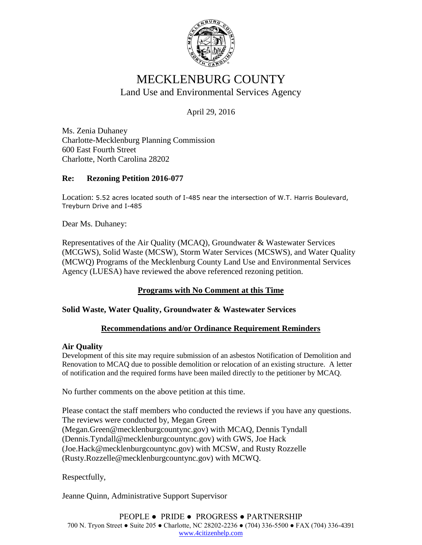

# MECKLENBURG COUNTY Land Use and Environmental Services Agency

April 29, 2016

Ms. Zenia Duhaney Charlotte-Mecklenburg Planning Commission 600 East Fourth Street Charlotte, North Carolina 28202

### **Re: Rezoning Petition 2016-077**

Location: 5.52 acres located south of I-485 near the intersection of W.T. Harris Boulevard, Treyburn Drive and I-485

Dear Ms. Duhaney:

Representatives of the Air Quality (MCAQ), Groundwater & Wastewater Services (MCGWS), Solid Waste (MCSW), Storm Water Services (MCSWS), and Water Quality (MCWQ) Programs of the Mecklenburg County Land Use and Environmental Services Agency (LUESA) have reviewed the above referenced rezoning petition.

### **Programs with No Comment at this Time**

### **Solid Waste, Water Quality, Groundwater & Wastewater Services**

### **Recommendations and/or Ordinance Requirement Reminders**

#### **Air Quality**

Development of this site may require submission of an asbestos Notification of Demolition and Renovation to MCAQ due to possible demolition or relocation of an existing structure. A letter of notification and the required forms have been mailed directly to the petitioner by MCAQ.

No further comments on the above petition at this time.

Please contact the staff members who conducted the reviews if you have any questions. The reviews were conducted by, Megan Green (Megan.Green@mecklenburgcountync.gov) with MCAQ, Dennis Tyndall (Dennis.Tyndall@mecklenburgcountync.gov) with GWS, Joe Hack (Joe.Hack@mecklenburgcountync.gov) with MCSW, and Rusty Rozzelle (Rusty.Rozzelle@mecklenburgcountync.gov) with MCWQ.

Respectfully,

Jeanne Quinn, Administrative Support Supervisor